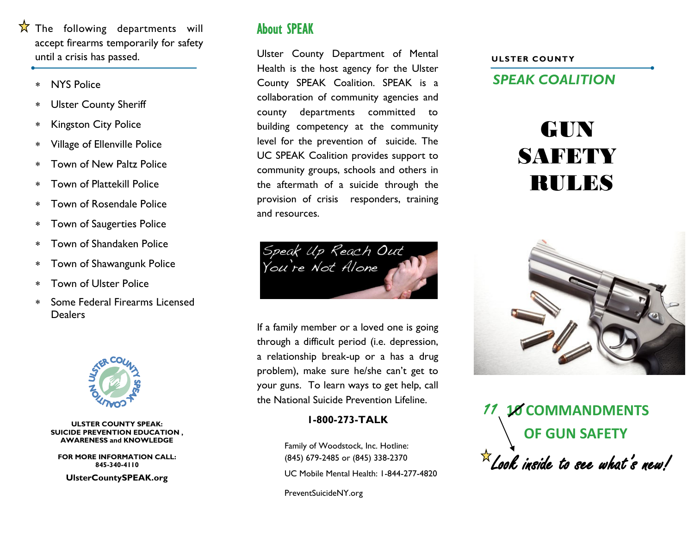- $\overrightarrow{X}$  The following departments will accept firearms temporarily for safety until a crisis has passed.
	- NYS Police
	- Ulster County Sheriff
	- Kingston City Police
	- Village of Ellenville Police
	- Town of New Paltz Police
	- Town of Plattekill Police
	- Town of Rosendale Police
	- Town of Saugerties Police
	- Town of Shandaken Police
	- Town of Shawangunk Police
	- Town of Ulster Police
	- Some Federal Firearms Licensed **Dealers**



#### **ULSTER COUNTY SPEAK: SUICIDE PREVENTION EDUCATION , AWARENESS and KNOWLEDGE**

**FOR MORE INFORMATION CALL: 845-340-4110 UlsterCountySPEAK.org**

## About SPEAK

Ulster County Department of Mental Health is the host agency for the Ulster County SPEAK Coalition. SPEAK is a collaboration of community agencies and county departments committed to building competency at the community level for the prevention of suicide. The UC SPEAK Coalition provides support to community groups, schools and others in the aftermath of a suicide through the provision of crisis responders, training and resources.



If a family member or a loved one is going through a difficult period (i.e. depression, a relationship break-up or a has a drug problem), make sure he/she can't get to your guns. To learn ways to get help, call the National Suicide Prevention Lifeline.

### **1-800-273-TALK**

Family of Woodstock, Inc. Hotline: (845) 679-2485 or (845) 338-2370 UC Mobile Mental Health: 1-844-277-4820

PreventSuicideNY.org

#### **ULSTER COUNTY**

*SPEAK COALITION*

# GUN SAFETY RULES



11 **10 COMMANDMENTS OF GUN SAFETY**  $\overline{\mathcal{K}}$ Look inside to see what's new!